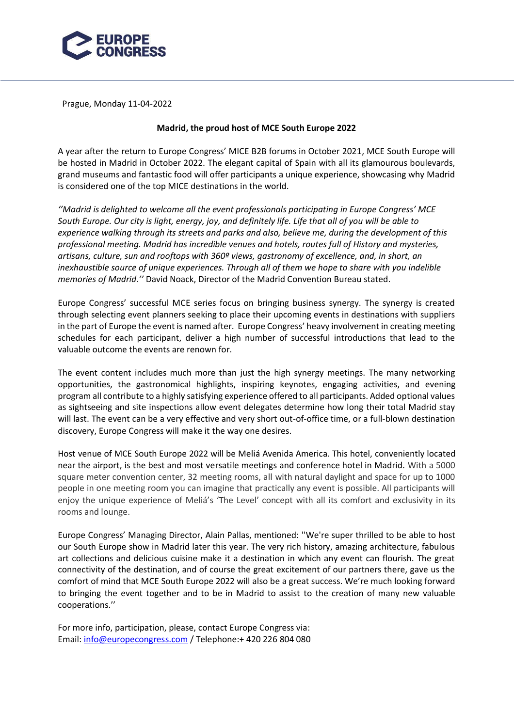

Prague, Monday 11-04-2022

## **Madrid, the proud host of MCE South Europe 2022**

A year after the return to Europe Congress' MICE B2B forums in October 2021, MCE South Europe will be hosted in Madrid in October 2022. The elegant capital of Spain with all its glamourous boulevards, grand museums and fantastic food will offer participants a unique experience, showcasing why Madrid is considered one of the top MICE destinations in the world.

*''Madrid is delighted to welcome all the event professionals participating in Europe Congress' MCE South Europe. Our city is light, energy, joy, and definitely life. Life that all of you will be able to experience walking through its streets and parks and also, believe me, during the development of this professional meeting. Madrid has incredible venues and hotels, routes full of History and mysteries, artisans, culture, sun and rooftops with 360º views, gastronomy of excellence, and, in short, an inexhaustible source of unique experiences. Through all of them we hope to share with you indelible memories of Madrid.''* David Noack, Director of the Madrid Convention Bureau stated.

Europe Congress' successful MCE series focus on bringing business synergy. The synergy is created through selecting event planners seeking to place their upcoming events in destinations with suppliers in the part of Europe the event is named after. Europe Congress' heavy involvement in creating meeting schedules for each participant, deliver a high number of successful introductions that lead to the valuable outcome the events are renown for.

The event content includes much more than just the high synergy meetings. The many networking opportunities, the gastronomical highlights, inspiring keynotes, engaging activities, and evening program all contribute to a highly satisfying experience offered to all participants. Added optional values as sightseeing and site inspections allow event delegates determine how long their total Madrid stay will last. The event can be a very effective and very short out-of-office time, or a full-blown destination discovery, Europe Congress will make it the way one desires.

Host venue of MCE South Europe 2022 will be Meliá Avenida America. This hotel, conveniently located near the airport, is the best and most versatile meetings and conference hotel in Madrid. With a 5000 square meter convention center, 32 meeting rooms, all with natural daylight and space for up to 1000 people in one meeting room you can imagine that practically any event is possible. All participants will enjoy the unique experience of Meliá's 'The Level' concept with all its comfort and exclusivity in its rooms and lounge.

Europe Congress' Managing Director, Alain Pallas, mentioned: ''We're super thrilled to be able to host our South Europe show in Madrid later this year. The very rich history, amazing architecture, fabulous art collections and delicious cuisine make it a destination in which any event can flourish. The great connectivity of the destination, and of course the great excitement of our partners there, gave us the comfort of mind that MCE South Europe 2022 will also be a great success. We're much looking forward to bringing the event together and to be in Madrid to assist to the creation of many new valuable cooperations.''

For more info, participation, please, contact Europe Congress via: Email: [info@europecongress.com](http://info@europecongress.com/) / Telephone:+ 420 226 804 080